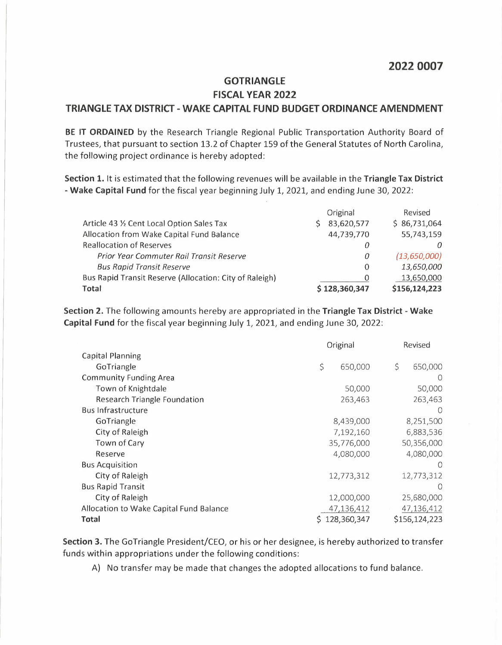## **2022 0007**

## **GOTRIANGLE FISCAL YEAR 2022 TRIANGLE TAX DISTRICT - WAKE CAPITAL FUND BUDGET ORDINANCE AMENDMENT**

**BE IT ORDAINED** by the Research Triangle Regional Public Transportation Authority Board of Trustees, that pursuant to section 13.2 of Chapter 159 of the General Statutes of North Carolina, the following project ordinance is hereby adopted:

**Section 1.** It is estimated that the following revenues will be available in the **Triangle Tax District - Wake Capital Fund** for the fiscal year beginning July 1, 2021, and ending June 30, 2022:

|                                                         | Original      | Revised       |
|---------------------------------------------------------|---------------|---------------|
| Article 43 % Cent Local Option Sales Tax                | 83,620,577    | \$86,731,064  |
| Allocation from Wake Capital Fund Balance               | 44,739,770    | 55,743,159    |
| <b>Reallocation of Reserves</b>                         | 0             |               |
| Prior Year Commuter Rail Transit Reserve                | 0             | (13,650,000)  |
| <b>Bus Rapid Transit Reserve</b>                        | $\Omega$      | 13,650,000    |
| Bus Rapid Transit Reserve (Allocation: City of Raleigh) | 0             | 13,650,000    |
| Total                                                   | \$128,360,347 | \$156,124,223 |

**Section 2.** The following amounts hereby are appropriated in the **Triangle Tax District - Wake Capital Fund** for the fiscal year beginning July 1, 2021, and ending June 30, 2022:

|                                         | Original    |         | Revised |                  |
|-----------------------------------------|-------------|---------|---------|------------------|
| <b>Capital Planning</b>                 |             |         |         |                  |
| GoTriangle                              | \$          | 650,000 | \$      | 650,000          |
| <b>Community Funding Area</b>           |             |         |         | $\left( \right)$ |
| Town of Knightdale                      |             | 50,000  |         | 50,000           |
| <b>Research Triangle Foundation</b>     |             | 263,463 |         | 263,463          |
| <b>Bus Infrastructure</b>               |             |         |         | $\bigcirc$       |
| GoTriangle                              | 8,439,000   |         |         | 8,251,500        |
| City of Raleigh                         | 7,192,160   |         |         | 6,883,536        |
| Town of Cary                            | 35,776,000  |         |         | 50,356,000       |
| Reserve                                 | 4,080,000   |         |         | 4,080,000        |
| <b>Bus Acquisition</b>                  |             |         |         | $\left($         |
| City of Raleigh                         | 12,773,312  |         |         | 12,773,312       |
| <b>Bus Rapid Transit</b>                |             |         |         | $\bigcirc$       |
| City of Raleigh                         | 12,000,000  |         |         | 25,680,000       |
| Allocation to Wake Capital Fund Balance | 47,136,412  |         |         | 47,136,412       |
| Total                                   | 128,360,347 |         |         | \$156,124,223    |

**Section 3.** The GoTriangle President/CEO, or his or her designee, is hereby authorized to transfer funds within appropriations under the following conditions:

A) No transfer may be made that changes the adopted allocations to fund balance.